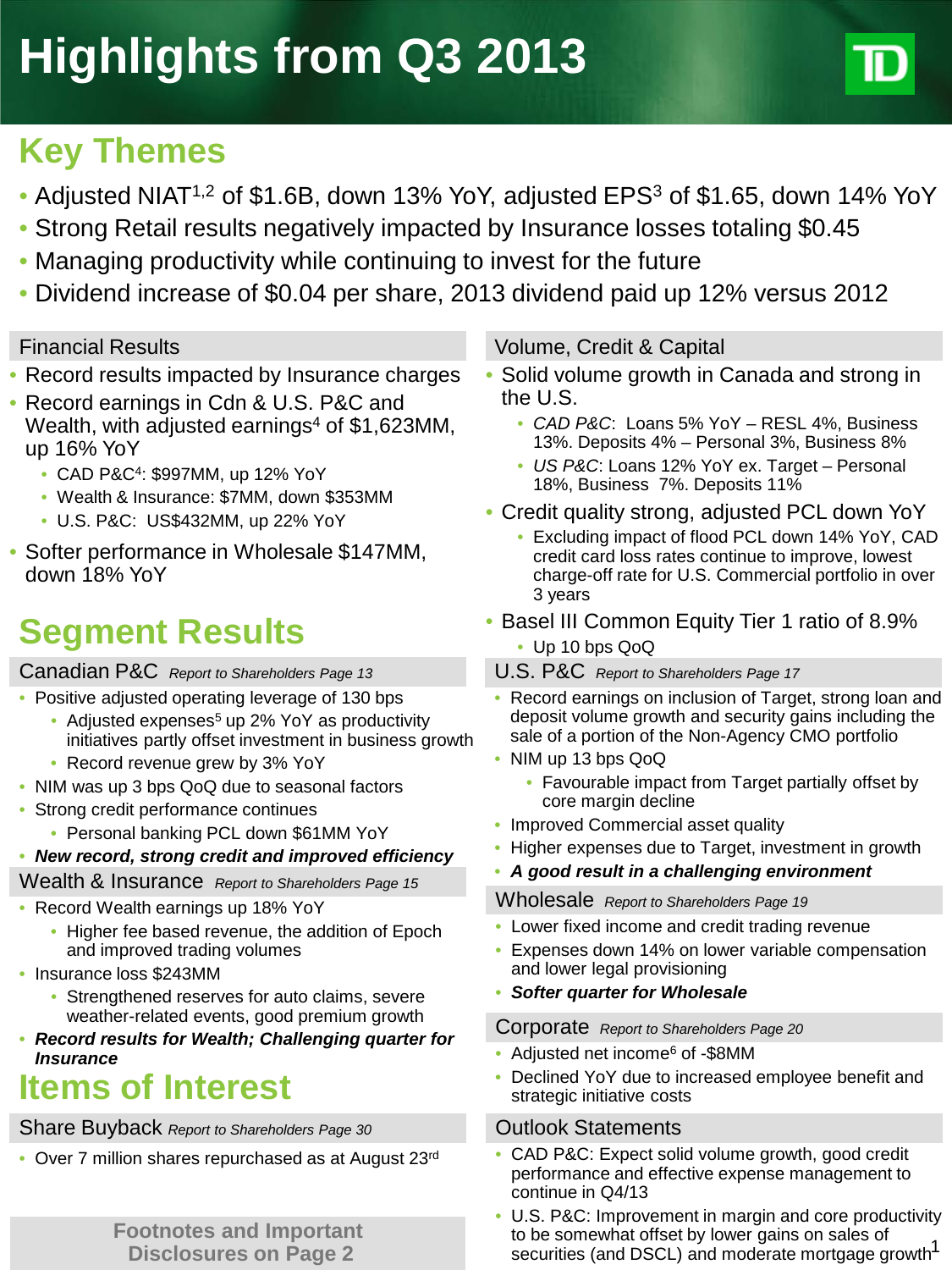# **Key Themes**

- Adjusted NIAT<sup>1,2</sup> of \$1.6B, down 13% YoY, adjusted EPS<sup>3</sup> of \$1.65, down 14% YoY
- Strong Retail results negatively impacted by Insurance losses totaling \$0.45
- Managing productivity while continuing to invest for the future
- Dividend increase of \$0.04 per share, 2013 dividend paid up 12% versus 2012

- Record results impacted by Insurance charges
- Record earnings in Cdn & U.S. P&C and Wealth, with adjusted earnings<sup>4</sup> of  $$1,623$ MM, up 16% YoY
	- CAD P&C4: \$997MM, up 12% YoY
	- Wealth & Insurance: \$7MM, down \$353MM
	- U.S. P&C: US\$432MM, up 22% YoY
- Softer performance in Wholesale \$147MM, down 18% YoY

# **Segment Results** • Basel III Common Equity Tier 1 ratio of 8.9% **Segment Results** • Up 10 bps QoQ

# Canadian P&C *Report to Shareholders Page 13*

- Positive adjusted operating leverage of 130 bps
	- Adjusted expenses<sup>5</sup> up 2% YoY as productivity initiatives partly offset investment in business growth
	- Record revenue grew by 3% YoY
- NIM was up 3 bps QoQ due to seasonal factors
- Strong credit performance continues
	- Personal banking PCL down \$61MM YoY
- *New record, strong credit and improved efficiency*

## Wealth & Insurance *Report to Shareholders Page 15*

- Record Wealth earnings up 18% YoY
	- Higher fee based revenue, the addition of Epoch and improved trading volumes
- Insurance loss \$243MM
	- Strengthened reserves for auto claims, severe weather-related events, good premium growth
- *Record results for Wealth; Challenging quarter for Insurance*

# **Items of Interest**

# Share Buyback *Report to Shareholders Page 30* Outlook Statements

• Over 7 million shares repurchased as at August 23rd

**Disclosures on Page 2**

# Financial Results Volume, Credit & Capital

- Solid volume growth in Canada and strong in the U.S.
	- *CAD P&C*: Loans 5% YoY RESL 4%, Business 13%. Deposits 4% – Personal 3%, Business 8%
	- *US P&C*: Loans 12% YoY ex. Target Personal 18%, Business 7%. Deposits 11%
- Credit quality strong, adjusted PCL down YoY
	- Excluding impact of flood PCL down 14% YoY, CAD credit card loss rates continue to improve, lowest charge-off rate for U.S. Commercial portfolio in over 3 years
- -
- U.S. P&C *Report to Shareholders Page 17*
- Record earnings on inclusion of Target, strong loan and deposit volume growth and security gains including the sale of a portion of the Non-Agency CMO portfolio
- NIM up 13 bps QoQ
	- Favourable impact from Target partially offset by core margin decline
- Improved Commercial asset quality
- Higher expenses due to Target, investment in growth
- *A good result in a challenging environment*

Wholesale *Report to Shareholders Page 19*

- Lower fixed income and credit trading revenue
- Expenses down 14% on lower variable compensation and lower legal provisioning
- *Softer quarter for Wholesale*

Corporate *Report to Shareholders Page 20*

- Adjusted net income<sup>6</sup> of -\$8MM
- Declined YoY due to increased employee benefit and strategic initiative costs

- CAD P&C: Expect solid volume growth, good credit performance and effective expense management to continue in Q4/13
- **Footnotes and Important and the securities of the somewhat offset by lower gains on sales of <b>Disclosures on Page 2** securities (and DSCL) and moderate mortgage growth<sup>1</sup> • U.S. P&C: Improvement in margin and core productivity to be somewhat offset by lower gains on sales of